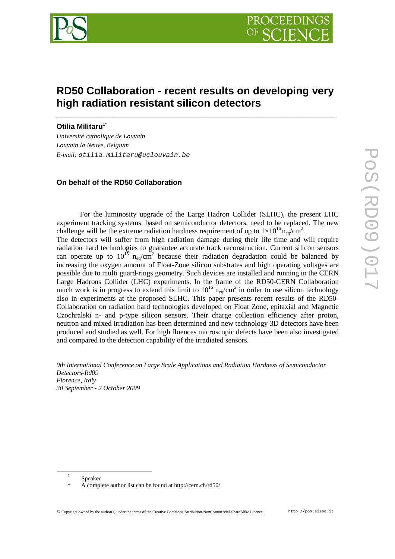

# **RD50 Collaboration - recent results on developing very high radiation resistant silicon detectors**

\_\_\_\_\_\_\_\_\_\_\_\_\_\_\_\_\_\_\_\_\_\_\_\_\_\_\_\_\_\_\_\_\_\_\_\_\_\_\_\_\_\_\_\_\_\_\_\_\_\_\_\_\_\_\_\_\_\_\_\_\_\_\_\_\_\_\_\_\_\_

**Otilia Militaru<sup>1</sup>\***

*Université catholique de Louvain Louvain la Neuve, Belgium E-mail:* otilia.militaru@uclouvain.be

# **On behalf of the RD50 Collaboration**

For the luminosity upgrade of the Large Hadron Collider (SLHC), the present LHC experiment tracking systems, based on semiconductor detectors, need to be replaced. The new challenge will be the extreme radiation hardness requirement of up to  $1 \times 10^{16}$  n<sub>eq</sub>/cm<sup>2</sup>.

The detectors will suffer from high radiation damage during their life time and will require radiation hard technologies to guarantee accurate track reconstruction. Current silicon sensors can operate up to  $10^{15}$  n<sub>eq</sub>/cm<sup>2</sup> because their radiation degradation could be balanced by increasing the oxygen amount of Float-Zone silicon substrates and high operating voltages are possible due to multi guard-rings geometry. Such devices are installed and running in the CERN Large Hadrons Collider (LHC) experiments. In the frame of the RD50-CERN Collaboration much work is in progress to extend this limit to  $10^{16}$   $n_{eq}/cm^2$  in order to use silicon technology also in experiments at the proposed SLHC. This paper presents recent results of the RD50- Collaboration on radiation hard technologies developed on Float Zone, epitaxial and Magnetic Czochralski n- and p-type silicon sensors. Their charge collection efficiency after proton, neutron and mixed irradiation has been determined and new technology 3D detectors have been produced and studied as well. For high fluences microscopic defects have been also investigated and compared to the detection capability of the irradiated sensors.

*9th International Conference on Large Scale Applications and Radiation Hardness of Semiconductor Detectors-Rd09 Florence, Italy 30 September - 2 October 2009* 

 $\overline{a}$ 

<sup>1</sup> Speaker

A complete author list can be found at http://cern.ch/rd50/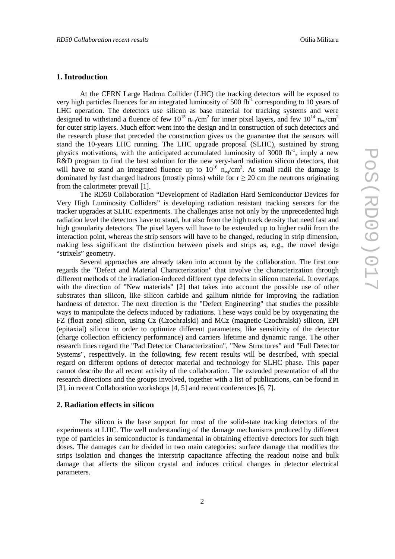# **1. Introduction**

At the CERN Large Hadron Collider (LHC) the tracking detectors will be exposed to very high particles fluences for an integrated luminosity of 500 fb<sup>-1</sup> corresponding to 10 years of LHC operation. The detectors use silicon as base material for tracking systems and were designed to withstand a fluence of few  $10^{15}$  n<sub>eq</sub>/cm<sup>2</sup> for inner pixel layers, and few  $10^{14}$  n<sub>eq</sub>/cm<sup>2</sup> for outer strip layers. Much effort went into the design and in construction of such detectors and the research phase that preceded the construction gives us the guarantee that the sensors will stand the 10-years LHC running. The LHC upgrade proposal (SLHC), sustained by strong physics motivations, with the anticipated accumulated luminosity of 3000 fb $^{-1}$ , imply a new R&D program to find the best solution for the new very-hard radiation silicon detectors, that will have to stand an integrated fluence up to  $10^{16}$  n<sub>eq</sub>/cm<sup>2</sup>. At small radii the damage is dominated by fast charged hadrons (mostly pions) while for  $r \ge 20$  cm the neutrons originating from the calorimeter prevail [1].

The RD50 Collaboration "Development of Radiation Hard Semiconductor Devices for Very High Luminosity Colliders" is developing radiation resistant tracking sensors for the tracker upgrades at SLHC experiments. The challenges arise not only by the unprecedented high radiation level the detectors have to stand, but also from the high track density that need fast and high granularity detectors. The pixel layers will have to be extended up to higher radii from the interaction point, whereas the strip sensors will have to be changed, reducing in strip dimension, making less significant the distinction between pixels and strips as, e.g., the novel design "strixels" geometry.

Several approaches are already taken into account by the collaboration. The first one regards the "Defect and Material Characterization" that involve the characterization through different methods of the irradiation-induced different type defects in silicon material. It overlaps with the direction of "New materials" [2] that takes into account the possible use of other substrates than silicon, like silicon carbide and gallium nitride for improving the radiation hardness of detector. The next direction is the "Defect Engineering" that studies the possible ways to manipulate the defects induced by radiations. These ways could be by oxygenating the FZ (float zone) silicon, using Cz (Czochralski) and MCz (magnetic-Czochralski) silicon, EPI (epitaxial) silicon in order to optimize different parameters, like sensitivity of the detector (charge collection efficiency performance) and carriers lifetime and dynamic range. The other research lines regard the "Pad Detector Characterization", "New Structures" and "Full Detector Systems", respectively. In the following, few recent results will be described, with special regard on different options of detector material and technology for SLHC phase. This paper cannot describe the all recent activity of the collaboration. The extended presentation of all the research directions and the groups involved, together with a list of publications, can be found in [3], in recent Collaboration workshops [4, 5] and recent conferences [6, 7].

### **2. Radiation effects in silicon**

The silicon is the base support for most of the solid-state tracking detectors of the experiments at LHC. The well understanding of the damage mechanisms produced by different type of particles in semiconductor is fundamental in obtaining effective detectors for such high doses. The damages can be divided in two main categories: surface damage that modifies the strips isolation and changes the interstrip capacitance affecting the readout noise and bulk damage that affects the silicon crystal and induces critical changes in detector electrical parameters.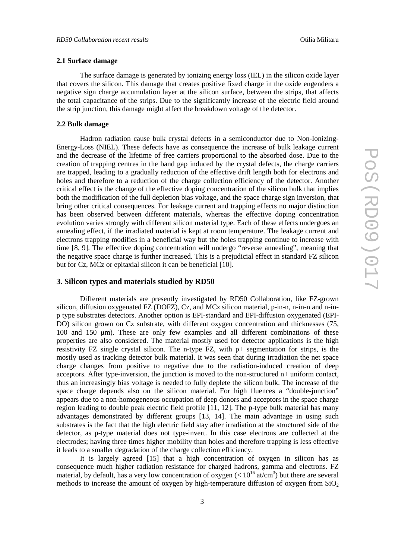# **2.1 Surface damage**

The surface damage is generated by ionizing energy loss (IEL) in the silicon oxide layer that covers the silicon. This damage that creates positive fixed charge in the oxide engenders a negative sign charge accumulation layer at the silicon surface, between the strips, that affects the total capacitance of the strips. Due to the significantly increase of the electric field around the strip junction, this damage might affect the breakdown voltage of the detector.

#### **2.2 Bulk damage**

Hadron radiation cause bulk crystal defects in a semiconductor due to Non-Ionizing-Energy-Loss (NIEL). These defects have as consequence the increase of bulk leakage current and the decrease of the lifetime of free carriers proportional to the absorbed dose. Due to the creation of trapping centres in the band gap induced by the crystal defects, the charge carriers are trapped, leading to a gradually reduction of the effective drift length both for electrons and holes and therefore to a reduction of the charge collection efficiency of the detector. Another critical effect is the change of the effective doping concentration of the silicon bulk that implies both the modification of the full depletion bias voltage, and the space charge sign inversion, that bring other critical consequences. For leakage current and trapping effects no major distinction has been observed between different materials, whereas the effective doping concentration evolution varies strongly with different silicon material type. Each of these effects undergoes an annealing effect, if the irradiated material is kept at room temperature. The leakage current and electrons trapping modifies in a beneficial way but the holes trapping continue to increase with time [8, 9]. The effective doping concentration will undergo "reverse annealing", meaning that the negative space charge is further increased. This is a prejudicial effect in standard FZ silicon but for Cz, MCz or epitaxial silicon it can be beneficial [10].

# **3. Silicon types and materials studied by RD50**

Different materials are presently investigated by RD50 Collaboration, like FZ-grown silicon, diffusion oxygenated FZ (DOFZ), Cz, and MCz silicon material, p-in-n, n-in-n and n-inp type substrates detectors. Another option is EPI-standard and EPI-diffusion oxygenated (EPI-DO) silicon grown on Cz substrate, with different oxygen concentration and thicknesses (75, 100 and 150 µm). These are only few examples and all different combinations of these properties are also considered. The material mostly used for detector applications is the high resistivity FZ single crystal silicon. The n-type FZ, with p+ segmentation for strips, is the mostly used as tracking detector bulk material. It was seen that during irradiation the net space charge changes from positive to negative due to the radiation-induced creation of deep acceptors. After type-inversion, the junction is moved to the non-structured n+ uniform contact, thus an increasingly bias voltage is needed to fully deplete the silicon bulk. The increase of the space charge depends also on the silicon material. For high fluences a "double-junction" appears due to a non-homogeneous occupation of deep donors and acceptors in the space charge region leading to double peak electric field profile [11, 12]. The p-type bulk material has many advantages demonstrated by different groups [13, 14]. The main advantage in using such substrates is the fact that the high electric field stay after irradiation at the structured side of the detector, as p-type material does not type-invert. In this case electrons are collected at the electrodes; having three times higher mobility than holes and therefore trapping is less effective it leads to a smaller degradation of the charge collection efficiency.

It is largely agreed [15] that a high concentration of oxygen in silicon has as consequence much higher radiation resistance for charged hadrons, gamma and electrons. FZ material, by default, has a very low concentration of oxygen  $(< 10^{16} \text{ at/cm}^3)$  but there are several methods to increase the amount of oxygen by high-temperature diffusion of oxygen from  $SiO<sub>2</sub>$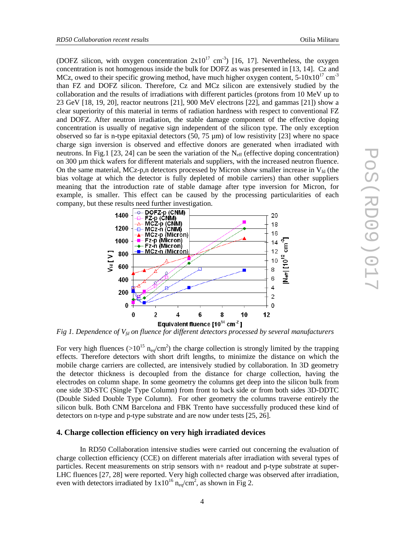(DOFZ silicon, with oxygen concentration  $2x10^{17}$  cm<sup>-3</sup>) [16, 17]. Nevertheless, the oxygen concentration is not homogenous inside the bulk for DOFZ as was presented in [13, 14]. Cz and MCz, owed to their specific growing method, have much higher oxygen content,  $5\text{-}10x10^{17}$  cm<sup>-3</sup> than FZ and DOFZ silicon. Therefore, Cz and MCz silicon are extensively studied by the collaboration and the results of irradiations with different particles (protons from 10 MeV up to 23 GeV [18, 19, 20], reactor neutrons [21], 900 MeV electrons [22], and gammas [21]) show a clear superiority of this material in terms of radiation hardness with respect to conventional FZ and DOFZ. After neutron irradiation, the stable damage component of the effective doping concentration is usually of negative sign independent of the silicon type. The only exception observed so far is n-type epitaxial detectors (50, 75  $\mu$ m) of low resistivity [23] where no space charge sign inversion is observed and effective donors are generated when irradiated with neutrons. In Fig.1 [23, 24] can be seen the variation of the  $N_{\text{eff}}$  (effective doping concentration) on 300 µm thick wafers for different materials and suppliers, with the increased neutron fluence. On the same material, MCz-p,n detectors processed by Micron show smaller increase in  $V_{fd}$  (the bias voltage at which the detector is fully depleted of mobile carriers) than other suppliers meaning that the introduction rate of stable damage after type inversion for Micron, for example, is smaller. This effect can be caused by the processing particularities of each



*Fig 1. Dependence of Vfd on fluence for different detectors processed by several manufacturers* 

For very high fluences ( $>10^{15}$  n<sub>eq</sub>/cm<sup>2</sup>) the charge collection is strongly limited by the trapping effects. Therefore detectors with short drift lengths, to minimize the distance on which the mobile charge carriers are collected, are intensively studied by collaboration. In 3D geometry the detector thickness is decoupled from the distance for charge collection, having the electrodes on column shape. In some geometry the columns get deep into the silicon bulk from one side 3D-STC (Single Type Column) from front to back side or from both sides 3D-DDTC (Double Sided Double Type Column). For other geometry the columns traverse entirely the silicon bulk. Both CNM Barcelona and FBK Trento have successfully produced these kind of detectors on n-type and p-type substrate and are now under tests [25, 26].

# **4. Charge collection efficiency on very high irradiated devices**

In RD50 Collaboration intensive studies were carried out concerning the evaluation of charge collection efficiency (CCE) on different materials after irradiation with several types of particles. Recent measurements on strip sensors with n+ readout and p-type substrate at super-LHC fluences [27, 28] were reported. Very high collected charge was observed after irradiation, even with detectors irradiated by  $1x10^{16}$  n<sub>eq</sub>/cm<sup>2</sup>, as shown in Fig 2.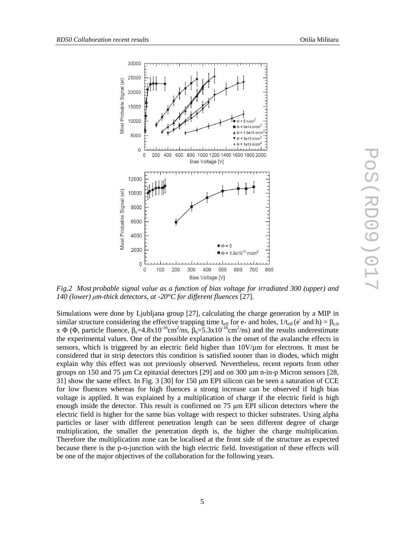

*Fig.2 Most probable signal value as a function of bias voltage for irradiated 300 (upper) and 140 (lower) µm-thick detectors, at -20°C for different fluences* [27].

Simulations were done by Ljubljana group [27], calculating the charge generation by a MIP in similar structure considering the effective trapping time t<sub>eff</sub> for e- and holes,  $1/t_{\text{eff}}$  (e<sup>-</sup> and h) =  $\beta_{e,h}$ x  $\Phi$  ( $\Phi$ , particle fluence,  $\beta_e = 4.8 \times 10^{-16}$ cm<sup>2</sup>/ns,  $\beta_h = 5.3 \times 10^{-16}$ cm<sup>2</sup>/ns) and the results underestimate the experimental values. One of the possible explanation is the onset of the avalanche effects in sensors, which is triggered by an electric field higher than  $10V/\mu m$  for electrons. It must be considered that in strip detectors this condition is satisfied sooner than in diodes, which might explain why this effect was not previously observed. Nevertheless, recent reports from other groups on 150 and 75 µm Cz epitaxial detectors [29] and on 300 µm n-in-p Micron sensors [28, 31] show the same effect. In Fig. 3 [30] for 150 µm EPI silicon can be seen a saturation of CCE for low fluences whereas for high fluences a strong increase can be observed if high bias voltage is applied. It was explained by a multiplication of charge if the electric field is high enough inside the detector. This result is confirmed on 75 µm EPI silicon detectors where the electric field is higher for the same bias voltage with respect to thicker substrates. Using alpha particles or laser with different penetration length can be seen different degree of charge multiplication, the smaller the penetration depth is, the higher the charge multiplication. Therefore the multiplication zone can be localised at the front side of the structure as expected because there is the p-n-junction with the high electric field. Investigation of these effects will be one of the major objectives of the collaboration for the following years.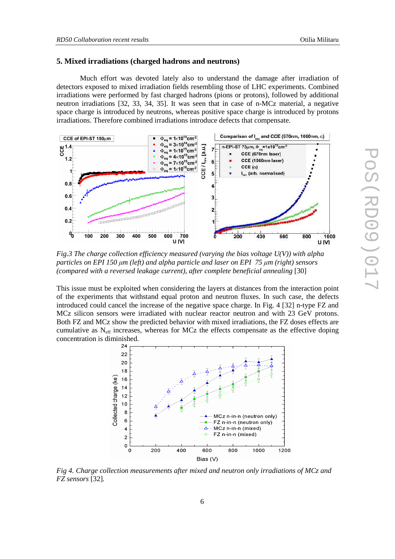# **5. Mixed irradiations (charged hadrons and neutrons)**

Much effort was devoted lately also to understand the damage after irradiation of detectors exposed to mixed irradiation fields resembling those of LHC experiments. Combined irradiations were performed by fast charged hadrons (pions or protons), followed by additional neutron irradiations [32, 33, 34, 35]. It was seen that in case of n-MCz material, a negative space charge is introduced by neutrons, whereas positive space charge is introduced by protons irradiations. Therefore combined irradiations introduce defects that compensate.



*Fig.3 The charge collection efficiency measured (varying the bias voltage U(V)) with alpha particles on EPI 150 µm (left) and alpha particle and laser on EPI 75 µm (right) sensors (compared with a reversed leakage current), after complete beneficial annealing* [30]

This issue must be exploited when considering the layers at distances from the interaction point of the experiments that withstand equal proton and neutron fluxes. In such case, the defects introduced could cancel the increase of the negative space charge. In Fig. 4 [32] n-type FZ and MCz silicon sensors were irradiated with nuclear reactor neutron and with 23 GeV protons. Both FZ and MCz show the predicted behavior with mixed irradiations, the FZ doses effects are cumulative as  $N_{\text{eff}}$  increases, whereas for MCz the effects compensate as the effective doping concentration is diminished.



*Fig 4. Charge collection measurements after mixed and neutron only irradiations of MCz and FZ sensors* [32]*.*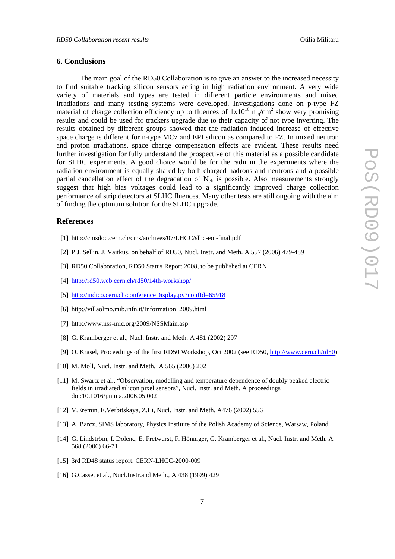### **6. Conclusions**

The main goal of the RD50 Collaboration is to give an answer to the increased necessity to find suitable tracking silicon sensors acting in high radiation environment. A very wide variety of materials and types are tested in different particle environments and mixed irradiations and many testing systems were developed. Investigations done on p-type FZ material of charge collection efficiency up to fluences of  $1x10^{16}$  n<sub>eq</sub>/cm<sup>2</sup> show very promising results and could be used for trackers upgrade due to their capacity of not type inverting. The results obtained by different groups showed that the radiation induced increase of effective space charge is different for n-type MCz and EPI silicon as compared to FZ. In mixed neutron and proton irradiations, space charge compensation effects are evident. These results need further investigation for fully understand the prospective of this material as a possible candidate for SLHC experiments. A good choice would be for the radii in the experiments where the radiation environment is equally shared by both charged hadrons and neutrons and a possible partial cancellation effect of the degradation of  $N_{\text{eff}}$  is possible. Also measurements strongly suggest that high bias voltages could lead to a significantly improved charge collection performance of strip detectors at SLHC fluences. Many other tests are still ongoing with the aim of finding the optimum solution for the SLHC upgrade.

# **References**

- [1] http://cmsdoc.cern.ch/cms/archives/07/LHCC/slhc-eoi-final.pdf
- [2] P.J. Sellin, J. Vaitkus, on behalf of RD50, Nucl. Instr. and Meth. A 557 (2006) 479-489
- [3] RD50 Collaboration, RD50 Status Report 2008, to be published at CERN
- [4] http://rd50.web.cern.ch/rd50/14th-workshop/
- [5] http://indico.cern.ch/conferenceDisplay.py?confId=65918
- [6] http://villaolmo.mib.infn.it/Information\_2009.html
- [7] http://www.nss-mic.org/2009/NSSMain.asp
- [8] G. Kramberger et al., Nucl. Instr. and Meth. A 481 (2002) 297
- [9] O. Krasel, Proceedings of the first RD50 Workshop, Oct 2002 (see RD50, http://www.cern.ch/rd50)
- [10] M. Moll, Nucl. Instr. and Meth, A 565 (2006) 202
- [11] M. Swartz et al., "Observation, modelling and temperature dependence of doubly peaked electric fields in irradiated silicon pixel sensors", Nucl. Instr. and Meth. A proceedings doi:10.1016/j.nima.2006.05.002
- [12] V.Eremin, E.Verbitskaya, Z.Li, Nucl. Instr. and Meth. A476 (2002) 556
- [13] A. Barcz, SIMS laboratory, Physics Institute of the Polish Academy of Science, Warsaw, Poland
- [14] G. Lindström, I. Dolenc, E. Fretwurst, F. Hönniger, G. Kramberger et al., Nucl. Instr. and Meth. A 568 (2006) 66-71
- [15] 3rd RD48 status report. CERN-LHCC-2000-009
- [16] G.Casse, et al., Nucl.Instr.and Meth., A 438 (1999) 429